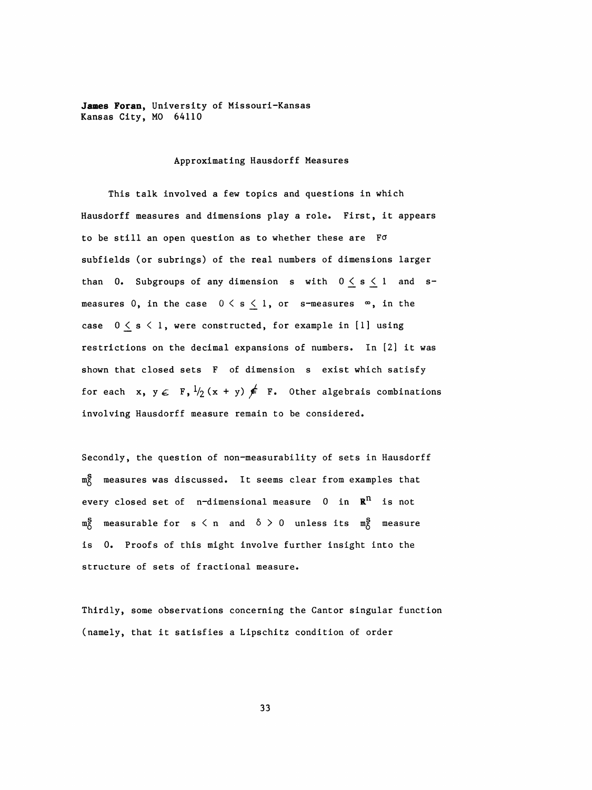James Foran, University of Missouri-Kansas Kansas City, MO 64110

## Approximating Hausdorff Measures

 This talk involved a few topics and questions in which Hausdorff measures and dimensions play a role. First, it appears to be still an open question as to whether these are Fo subfields (or subrings) of the real numbers of dimensions larger than 0. Subgroups of any dimension s with  $0 \le s \le 1$  and smeasures 0, in the case  $0 \leq s \leq 1$ , or s-measures  $\infty$ , in the case  $0 \leq s \leq 1$ , were constructed, for example in [1] using restrictions on the decimal expansions of numbers. In [2] it was shown that closed sets F of dimension s exist which satisfy for each  $x, y \in F$ ,  $\frac{1}{2}(x + y) \notin F$ . Other algebrais combinations involving Hausdorff measure remain to be considered.

 Secondly, the question of non-measurability of sets in Hausdorff m<sub>8</sub> measures was discussed. It seems clear from examples that every closed set of  $n$ -dimensional measure 0 in  $\mathbb{R}^n$  is not  $m_{\lambda}^{S}$  measurable for s  $\langle n \rangle$  and  $\delta > 0$  unless its  $m_{\lambda}^{S}$  measure is 0. Proofs of this might involve further insight into the structure of sets of fractional measure.

 Thirdly, some observations concerning the Cantor singular function (namely, that it satisfies a Lipschitz condition of order

33